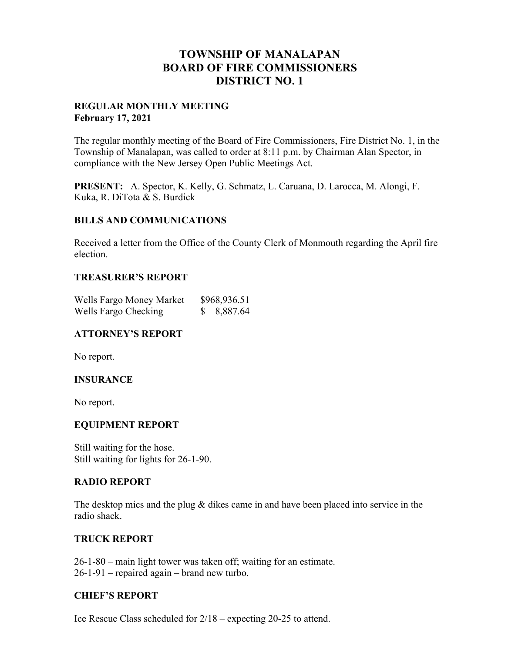# **TOWNSHIP OF MANALAPAN BOARD OF FIRE COMMISSIONERS DISTRICT NO. 1**

## **REGULAR MONTHLY MEETING February 17, 2021**

The regular monthly meeting of the Board of Fire Commissioners, Fire District No. 1, in the Township of Manalapan, was called to order at 8:11 p.m. by Chairman Alan Spector, in compliance with the New Jersey Open Public Meetings Act.

**PRESENT:** A. Spector, K. Kelly, G. Schmatz, L. Caruana, D. Larocca, M. Alongi, F. Kuka, R. DiTota & S. Burdick

## **BILLS AND COMMUNICATIONS**

Received a letter from the Office of the County Clerk of Monmouth regarding the April fire election.

## **TREASURER'S REPORT**

| Wells Fargo Money Market | \$968,936.51 |
|--------------------------|--------------|
| Wells Fargo Checking     | 8,887.64     |

## **ATTORNEY'S REPORT**

No report.

## **INSURANCE**

No report.

#### **EQUIPMENT REPORT**

Still waiting for the hose. Still waiting for lights for 26-1-90.

#### **RADIO REPORT**

The desktop mics and the plug & dikes came in and have been placed into service in the radio shack.

#### **TRUCK REPORT**

26-1-80 – main light tower was taken off; waiting for an estimate. 26-1-91 – repaired again – brand new turbo.

## **CHIEF'S REPORT**

Ice Rescue Class scheduled for 2/18 – expecting 20-25 to attend.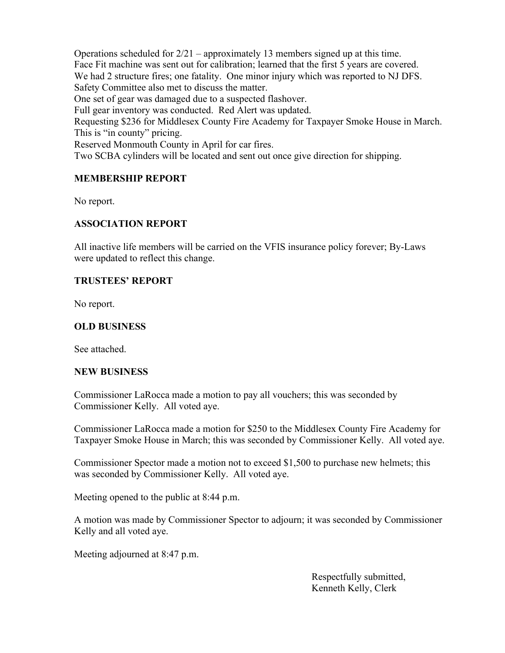Operations scheduled for  $2/21$  – approximately 13 members signed up at this time. Face Fit machine was sent out for calibration; learned that the first 5 years are covered. We had 2 structure fires; one fatality. One minor injury which was reported to NJ DFS. Safety Committee also met to discuss the matter. One set of gear was damaged due to a suspected flashover. Full gear inventory was conducted. Red Alert was updated. Requesting \$236 for Middlesex County Fire Academy for Taxpayer Smoke House in March. This is "in county" pricing. Reserved Monmouth County in April for car fires. Two SCBA cylinders will be located and sent out once give direction for shipping.

## **MEMBERSHIP REPORT**

No report.

## **ASSOCIATION REPORT**

All inactive life members will be carried on the VFIS insurance policy forever; By-Laws were updated to reflect this change.

## **TRUSTEES' REPORT**

No report.

## **OLD BUSINESS**

See attached.

#### **NEW BUSINESS**

Commissioner LaRocca made a motion to pay all vouchers; this was seconded by Commissioner Kelly. All voted aye.

Commissioner LaRocca made a motion for \$250 to the Middlesex County Fire Academy for Taxpayer Smoke House in March; this was seconded by Commissioner Kelly. All voted aye.

Commissioner Spector made a motion not to exceed \$1,500 to purchase new helmets; this was seconded by Commissioner Kelly. All voted aye.

Meeting opened to the public at 8:44 p.m.

A motion was made by Commissioner Spector to adjourn; it was seconded by Commissioner Kelly and all voted aye.

Meeting adjourned at 8:47 p.m.

 Respectfully submitted, Kenneth Kelly, Clerk